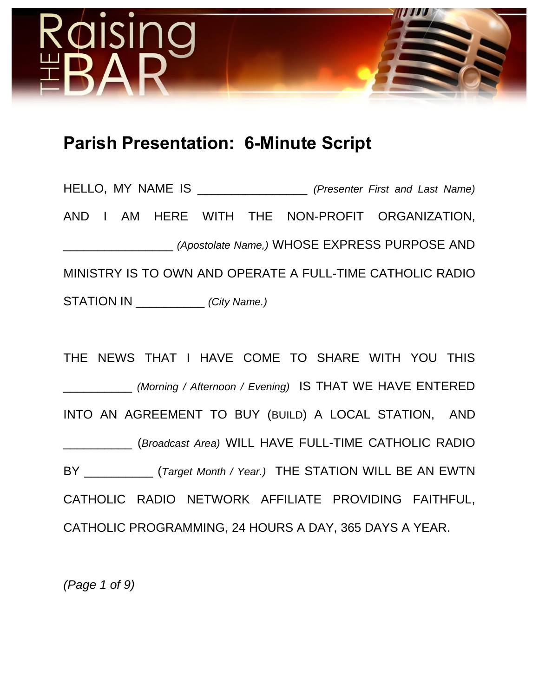

# **Parish Presentation: 6-Minute Script**

HELLO, MY NAME IS \_\_\_\_\_\_\_\_\_\_\_\_\_\_\_\_ *(Presenter First and Last Name)* AND I AM HERE WITH THE NON-PROFIT ORGANIZATION, \_\_\_\_\_\_\_\_\_\_\_\_\_\_\_\_ *(Apostolate Name,)* WHOSE EXPRESS PURPOSE AND MINISTRY IS TO OWN AND OPERATE A FULL-TIME CATHOLIC RADIO STATION IN \_\_\_\_\_\_\_\_\_\_ *(City Name.)*

THE NEWS THAT I HAVE COME TO SHARE WITH YOU THIS \_\_\_\_\_\_\_\_\_\_ *(Morning / Afternoon / Evening)* IS THAT WE HAVE ENTERED INTO AN AGREEMENT TO BUY (BUILD) A LOCAL STATION, AND \_\_\_\_\_\_\_\_\_\_ (*Broadcast Area)* WILL HAVE FULL-TIME CATHOLIC RADIO BY \_\_\_\_\_\_\_\_\_\_ (*Target Month / Year.)* THE STATION WILL BE AN EWTN CATHOLIC RADIO NETWORK AFFILIATE PROVIDING FAITHFUL, CATHOLIC PROGRAMMING, 24 HOURS A DAY, 365 DAYS A YEAR.

*(Page 1 of 9)*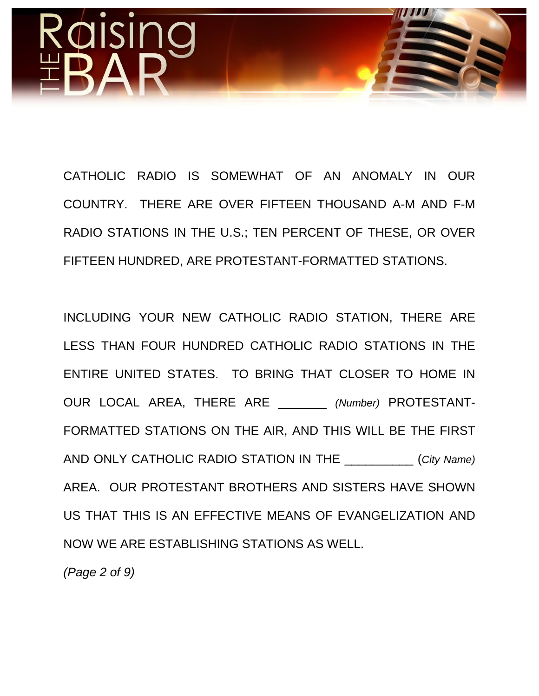

CATHOLIC RADIO IS SOMEWHAT OF AN ANOMALY IN OUR COUNTRY. THERE ARE OVER FIFTEEN THOUSAND A-M AND F-M RADIO STATIONS IN THE U.S.; TEN PERCENT OF THESE, OR OVER FIFTEEN HUNDRED, ARE PROTESTANT-FORMATTED STATIONS.

INCLUDING YOUR NEW CATHOLIC RADIO STATION, THERE ARE LESS THAN FOUR HUNDRED CATHOLIC RADIO STATIONS IN THE ENTIRE UNITED STATES. TO BRING THAT CLOSER TO HOME IN OUR LOCAL AREA, THERE ARE \_\_\_\_\_\_\_ *(Number)* PROTESTANT-FORMATTED STATIONS ON THE AIR, AND THIS WILL BE THE FIRST AND ONLY CATHOLIC RADIO STATION IN THE \_\_\_\_\_\_\_\_\_\_ (*City Name)* AREA. OUR PROTESTANT BROTHERS AND SISTERS HAVE SHOWN US THAT THIS IS AN EFFECTIVE MEANS OF EVANGELIZATION AND NOW WE ARE ESTABLISHING STATIONS AS WELL.

*(Page 2 of 9)*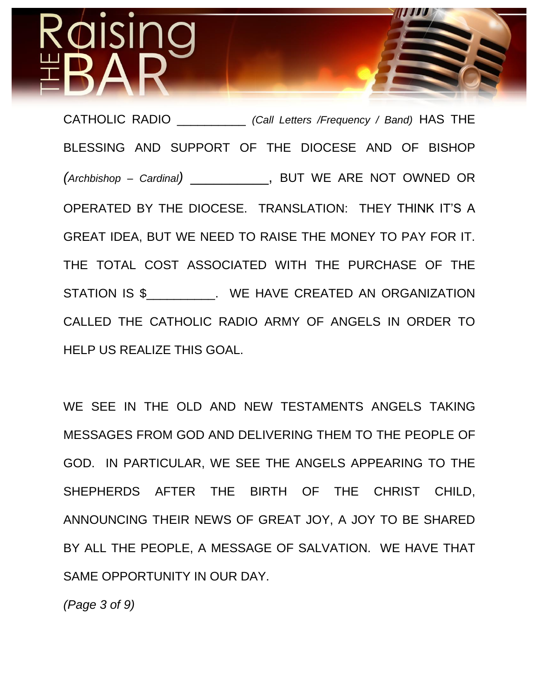CATHOLIC RADIO \_\_\_\_\_\_\_\_\_\_ *(Call Letters /Frequency / Band)* HAS THE BLESSING AND SUPPORT OF THE DIOCESE AND OF BISHOP *(Archbishop – Cardinal)* \_\_\_\_\_\_\_\_\_\_, BUT WE ARE NOT OWNED OR OPERATED BY THE DIOCESE. TRANSLATION: THEY THINK IT'S A GREAT IDEA, BUT WE NEED TO RAISE THE MONEY TO PAY FOR IT. THE TOTAL COST ASSOCIATED WITH THE PURCHASE OF THE STATION IS \$\_\_\_\_\_\_\_\_\_\_. WE HAVE CREATED AN ORGANIZATION CALLED THE CATHOLIC RADIO ARMY OF ANGELS IN ORDER TO HELP US REALIZE THIS GOAL.

WE SEE IN THE OLD AND NEW TESTAMENTS ANGELS TAKING MESSAGES FROM GOD AND DELIVERING THEM TO THE PEOPLE OF GOD. IN PARTICULAR, WE SEE THE ANGELS APPEARING TO THE SHEPHERDS AFTER THE BIRTH OF THE CHRIST CHILD, ANNOUNCING THEIR NEWS OF GREAT JOY, A JOY TO BE SHARED BY ALL THE PEOPLE, A MESSAGE OF SALVATION. WE HAVE THAT SAME OPPORTUNITY IN OUR DAY.

*(Page 3 of 9)*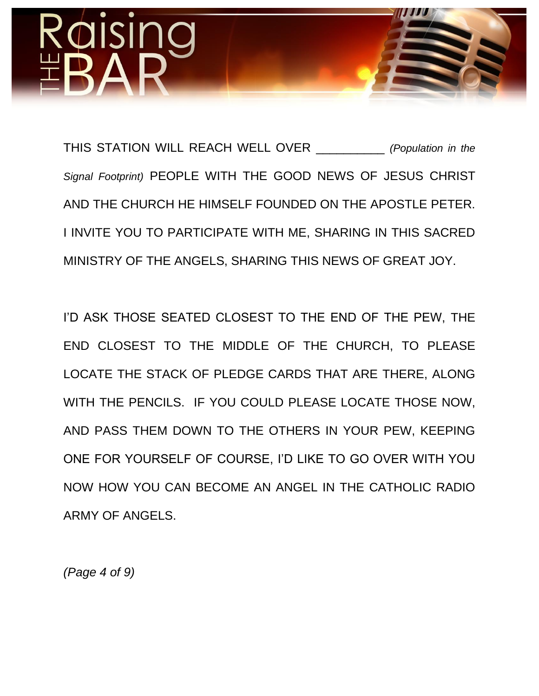

THIS STATION WILL REACH WELL OVER \_\_\_\_\_\_\_\_\_\_ *(Population in the Signal Footprint)* PEOPLE WITH THE GOOD NEWS OF JESUS CHRIST AND THE CHURCH HE HIMSELF FOUNDED ON THE APOSTLE PETER. I INVITE YOU TO PARTICIPATE WITH ME, SHARING IN THIS SACRED MINISTRY OF THE ANGELS, SHARING THIS NEWS OF GREAT JOY.

I'D ASK THOSE SEATED CLOSEST TO THE END OF THE PEW, THE END CLOSEST TO THE MIDDLE OF THE CHURCH, TO PLEASE LOCATE THE STACK OF PLEDGE CARDS THAT ARE THERE, ALONG WITH THE PENCILS. IF YOU COULD PLEASE LOCATE THOSE NOW, AND PASS THEM DOWN TO THE OTHERS IN YOUR PEW, KEEPING ONE FOR YOURSELF OF COURSE, I'D LIKE TO GO OVER WITH YOU NOW HOW YOU CAN BECOME AN ANGEL IN THE CATHOLIC RADIO ARMY OF ANGELS.

*(Page 4 of 9)*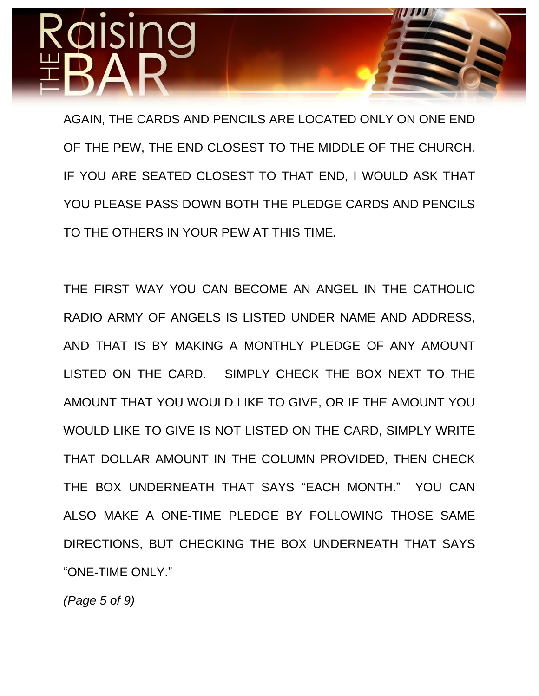AGAIN, THE CARDS AND PENCILS ARE LOCATED ONLY ON ONE END OF THE PEW, THE END CLOSEST TO THE MIDDLE OF THE CHURCH. IF YOU ARE SEATED CLOSEST TO THAT END, I WOULD ASK THAT YOU PLEASE PASS DOWN BOTH THE PLEDGE CARDS AND PENCILS TO THE OTHERS IN YOUR PEW AT THIS TIME.

THE FIRST WAY YOU CAN BECOME AN ANGEL IN THE CATHOLIC RADIO ARMY OF ANGELS IS LISTED UNDER NAME AND ADDRESS, AND THAT IS BY MAKING A MONTHLY PLEDGE OF ANY AMOUNT LISTED ON THE CARD. SIMPLY CHECK THE BOX NEXT TO THE AMOUNT THAT YOU WOULD LIKE TO GIVE, OR IF THE AMOUNT YOU WOULD LIKE TO GIVE IS NOT LISTED ON THE CARD, SIMPLY WRITE THAT DOLLAR AMOUNT IN THE COLUMN PROVIDED, THEN CHECK THE BOX UNDERNEATH THAT SAYS "EACH MONTH." YOU CAN ALSO MAKE A ONE-TIME PLEDGE BY FOLLOWING THOSE SAME DIRECTIONS, BUT CHECKING THE BOX UNDERNEATH THAT SAYS "ONE-TIME ONLY."

*(Page 5 of 9)*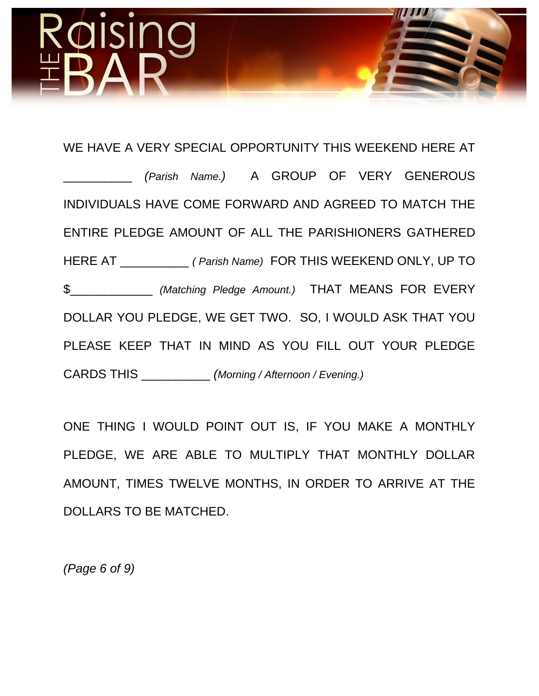# WE HAVE A VERY SPECIAL OPPORTUNITY THIS WEEKEND HERE AT \_\_\_\_\_\_\_\_\_\_ *(Parish Name.)* A GROUP OF VERY GENEROUS INDIVIDUALS HAVE COME FORWARD AND AGREED TO MATCH THE ENTIRE PLEDGE AMOUNT OF ALL THE PARISHIONERS GATHERED HERE AT \_\_\_\_\_\_\_\_\_\_ *( Parish Name)* FOR THIS WEEKEND ONLY, UP TO \$\_\_\_\_\_\_\_\_\_\_\_\_ *(Matching Pledge Amount.)* THAT MEANS FOR EVERY DOLLAR YOU PLEDGE, WE GET TWO. SO, I WOULD ASK THAT YOU PLEASE KEEP THAT IN MIND AS YOU FILL OUT YOUR PLEDGE CARDS THIS \_\_\_\_\_\_\_\_\_\_ *(Morning / Afternoon / Evening.)*

ONE THING I WOULD POINT OUT IS, IF YOU MAKE A MONTHLY PLEDGE, WE ARE ABLE TO MULTIPLY THAT MONTHLY DOLLAR AMOUNT, TIMES TWELVE MONTHS, IN ORDER TO ARRIVE AT THE DOLLARS TO BE MATCHED.

*(Page 6 of 9)*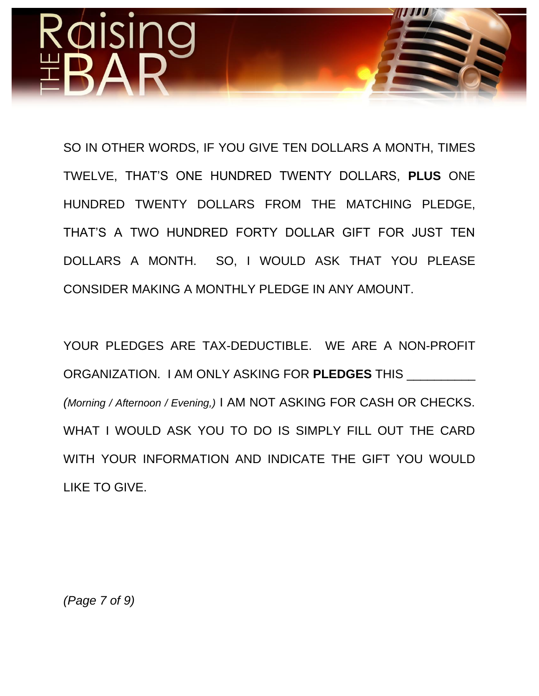# SI

SO IN OTHER WORDS, IF YOU GIVE TEN DOLLARS A MONTH, TIMES TWELVE, THAT'S ONE HUNDRED TWENTY DOLLARS, **PLUS** ONE HUNDRED TWENTY DOLLARS FROM THE MATCHING PLEDGE, THAT'S A TWO HUNDRED FORTY DOLLAR GIFT FOR JUST TEN DOLLARS A MONTH. SO, I WOULD ASK THAT YOU PLEASE CONSIDER MAKING A MONTHLY PLEDGE IN ANY AMOUNT.

YOUR PLEDGES ARE TAX-DEDUCTIBLE. WE ARE A NON-PROFIT ORGANIZATION. I AM ONLY ASKING FOR **PLEDGES** THIS \_\_\_\_\_\_\_\_\_\_ *(Morning / Afternoon / Evening,)* I AM NOT ASKING FOR CASH OR CHECKS. WHAT I WOULD ASK YOU TO DO IS SIMPLY FILL OUT THE CARD WITH YOUR INFORMATION AND INDICATE THE GIFT YOU WOULD LIKE TO GIVE.

*(Page 7 of 9)*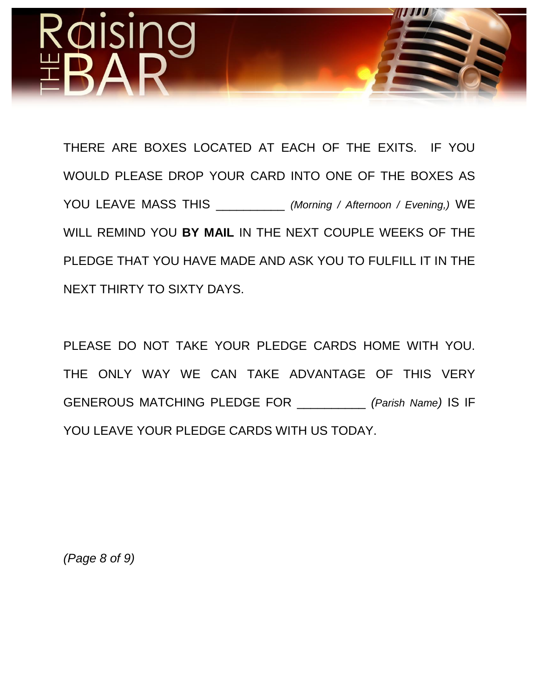

THERE ARE BOXES LOCATED AT EACH OF THE EXITS. IF YOU WOULD PLEASE DROP YOUR CARD INTO ONE OF THE BOXES AS YOU LEAVE MASS THIS \_\_\_\_\_\_\_\_\_\_ *(Morning / Afternoon / Evening,)* WE WILL REMIND YOU **BY MAIL** IN THE NEXT COUPLE WEEKS OF THE PLEDGE THAT YOU HAVE MADE AND ASK YOU TO FULFILL IT IN THE NEXT THIRTY TO SIXTY DAYS.

PLEASE DO NOT TAKE YOUR PLEDGE CARDS HOME WITH YOU. THE ONLY WAY WE CAN TAKE ADVANTAGE OF THIS VERY GENEROUS MATCHING PLEDGE FOR \_\_\_\_\_\_\_\_\_\_ *(Parish Name)* IS IF YOU LEAVE YOUR PLEDGE CARDS WITH US TODAY.

*(Page 8 of 9)*